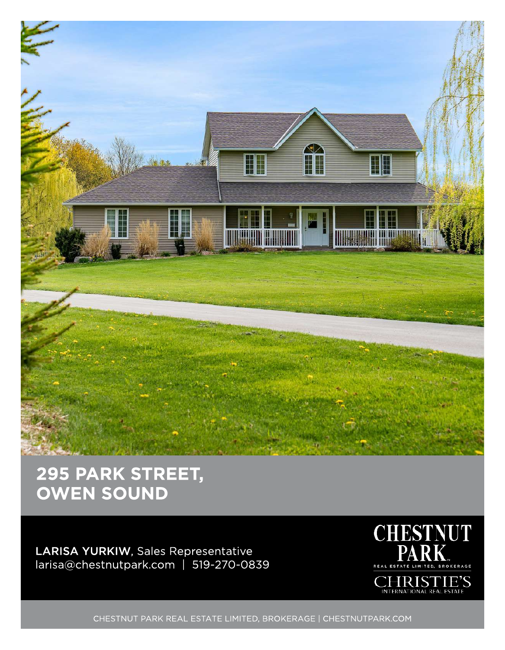

## 295 PARK STREET, **OWEN SOUND**

LARISA YURKIW, Sales Representative larisa@chestnutpark.com | 519-270-0839



CHESTNUT PARK REAL ESTATE LIMITED, BROKERAGE | CHESTNUTPARK.COM